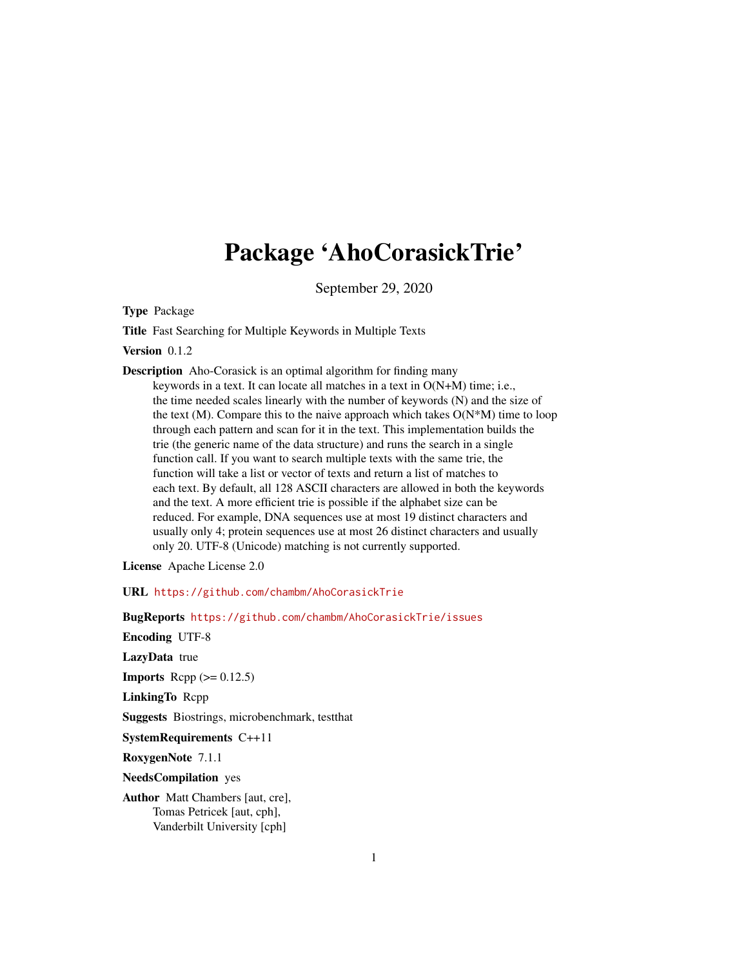# Package 'AhoCorasickTrie'

September 29, 2020

<span id="page-0-0"></span>Type Package

Title Fast Searching for Multiple Keywords in Multiple Texts

Version 0.1.2

Description Aho-Corasick is an optimal algorithm for finding many keywords in a text. It can locate all matches in a text in O(N+M) time; i.e., the time needed scales linearly with the number of keywords (N) and the size of the text (M). Compare this to the naive approach which takes  $O(N*M)$  time to loop through each pattern and scan for it in the text. This implementation builds the trie (the generic name of the data structure) and runs the search in a single function call. If you want to search multiple texts with the same trie, the function will take a list or vector of texts and return a list of matches to each text. By default, all 128 ASCII characters are allowed in both the keywords and the text. A more efficient trie is possible if the alphabet size can be reduced. For example, DNA sequences use at most 19 distinct characters and usually only 4; protein sequences use at most 26 distinct characters and usually only 20. UTF-8 (Unicode) matching is not currently supported.

License Apache License 2.0

URL <https://github.com/chambm/AhoCorasickTrie>

BugReports <https://github.com/chambm/AhoCorasickTrie/issues>

Encoding UTF-8

LazyData true

**Imports** Rcpp  $(>= 0.12.5)$ 

LinkingTo Rcpp

Suggests Biostrings, microbenchmark, testthat

SystemRequirements C++11

RoxygenNote 7.1.1

NeedsCompilation yes

Author Matt Chambers [aut, cre], Tomas Petricek [aut, cph], Vanderbilt University [cph]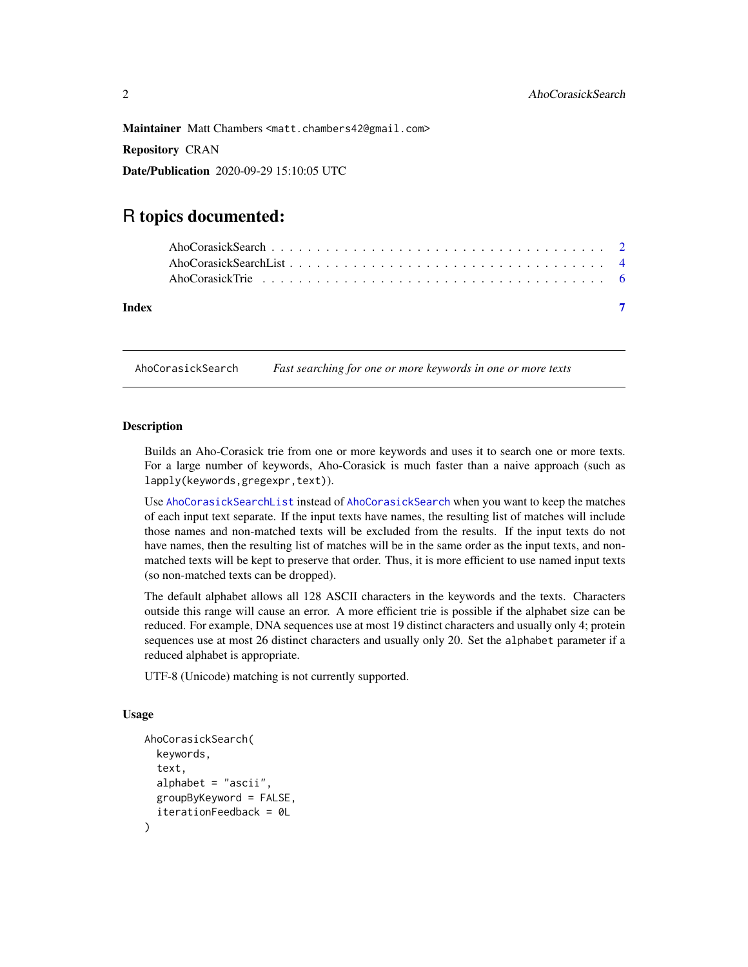<span id="page-1-0"></span>Maintainer Matt Chambers <matt.chambers42@gmail.com>

Repository CRAN

Date/Publication 2020-09-29 15:10:05 UTC

# R topics documented:

| Index |                                                                                                                                                                                                                               |  |
|-------|-------------------------------------------------------------------------------------------------------------------------------------------------------------------------------------------------------------------------------|--|
|       | AboCorasickTrie experience in the contract of the contract of the contract of the contract of the contract of the contract of the contract of the contract of the contract of the contract of the contract of the contract of |  |
|       |                                                                                                                                                                                                                               |  |
|       |                                                                                                                                                                                                                               |  |

<span id="page-1-1"></span>AhoCorasickSearch *Fast searching for one or more keywords in one or more texts*

# **Description**

Builds an Aho-Corasick trie from one or more keywords and uses it to search one or more texts. For a large number of keywords, Aho-Corasick is much faster than a naive approach (such as lapply(keywords,gregexpr,text)).

Use [AhoCorasickSearchList](#page-3-1) instead of [AhoCorasickSearch](#page-1-1) when you want to keep the matches of each input text separate. If the input texts have names, the resulting list of matches will include those names and non-matched texts will be excluded from the results. If the input texts do not have names, then the resulting list of matches will be in the same order as the input texts, and nonmatched texts will be kept to preserve that order. Thus, it is more efficient to use named input texts (so non-matched texts can be dropped).

The default alphabet allows all 128 ASCII characters in the keywords and the texts. Characters outside this range will cause an error. A more efficient trie is possible if the alphabet size can be reduced. For example, DNA sequences use at most 19 distinct characters and usually only 4; protein sequences use at most 26 distinct characters and usually only 20. Set the alphabet parameter if a reduced alphabet is appropriate.

UTF-8 (Unicode) matching is not currently supported.

# Usage

```
AhoCorasickSearch(
  keywords,
  text,
  alphabet = "ascii",
  groupByKeyword = FALSE,
  iterationFeedback = 0L
)
```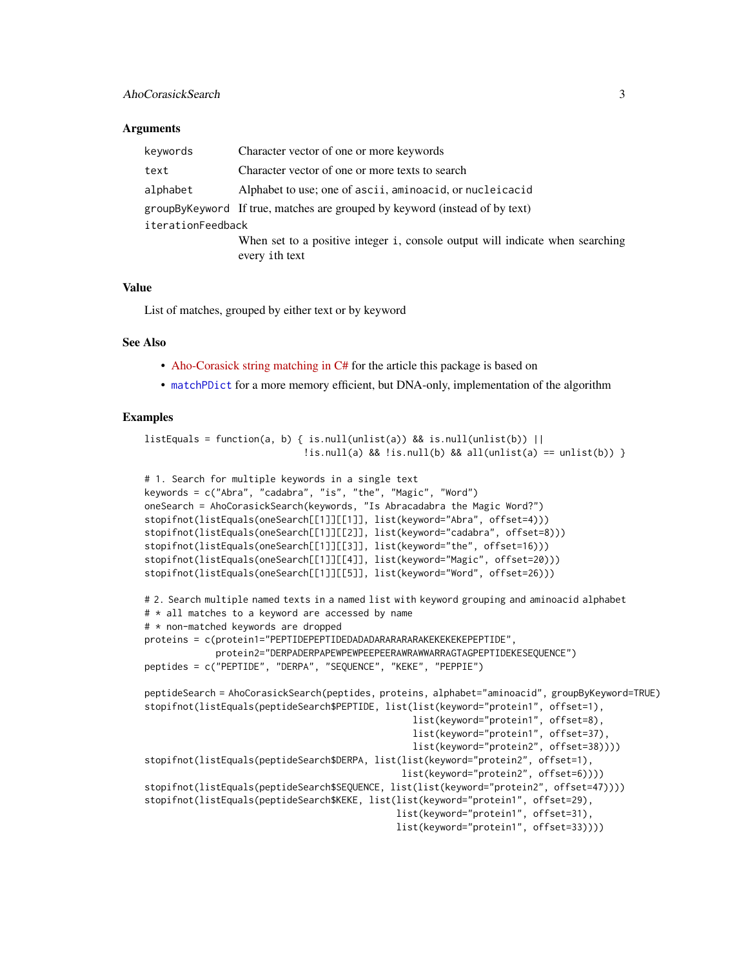# <span id="page-2-0"></span>**Arguments**

| Character vector of one or more keywords                                                        |  |  |  |  |
|-------------------------------------------------------------------------------------------------|--|--|--|--|
| Character vector of one or more texts to search                                                 |  |  |  |  |
| Alphabet to use; one of ascii, aminoacid, or nucleicacid                                        |  |  |  |  |
| group By Keyword If true, matches are grouped by keyword (instead of by text)                   |  |  |  |  |
| iterationFeedback                                                                               |  |  |  |  |
| When set to a positive integer i, console output will indicate when searching<br>every ith text |  |  |  |  |
|                                                                                                 |  |  |  |  |

# Value

List of matches, grouped by either text or by keyword

# See Also

- [Aho-Corasick string matching in C#](https://www.codeproject.com/Articles/12383/Aho-Corasick-string-matching-in-C) for the article this package is based on
- [matchPDict](#page-0-0) for a more memory efficient, but DNA-only, implementation of the algorithm

# Examples

```
listEquals = function(a, b) { is.null(unlist(a)) && is.null(unlist(b)) ||
                             !is.null(a) && !is.null(b) && all(unlist(a) == unlist(b)) }
# 1. Search for multiple keywords in a single text
keywords = c("Abra", "cadabra", "is", "the", "Magic", "Word")
oneSearch = AhoCorasickSearch(keywords, "Is Abracadabra the Magic Word?")
stopifnot(listEquals(oneSearch[[1]][[1]], list(keyword="Abra", offset=4)))
stopifnot(listEquals(oneSearch[[1]][[2]], list(keyword="cadabra", offset=8)))
stopifnot(listEquals(oneSearch[[1]][[3]], list(keyword="the", offset=16)))
stopifnot(listEquals(oneSearch[[1]][[4]], list(keyword="Magic", offset=20)))
stopifnot(listEquals(oneSearch[[1]][[5]], list(keyword="Word", offset=26)))
# 2. Search multiple named texts in a named list with keyword grouping and aminoacid alphabet
# * all matches to a keyword are accessed by name
# * non-matched keywords are dropped
proteins = c(protein1="PEPTIDEPEPTIDEDADADARARARARAKEKEKEKEPEPTIDE",
             protein2="DERPADERPAPEWPEWPEEPEERAWRAWWARRAGTAGPEPTIDEKESEQUENCE")
peptides = c("PEPTIDE", "DERPA", "SEQUENCE", "KEKE", "PEPPIE")
peptideSearch = AhoCorasickSearch(peptides, proteins, alphabet="aminoacid", groupByKeyword=TRUE)
stopifnot(listEquals(peptideSearch$PEPTIDE, list(list(keyword="protein1", offset=1),
                                                 list(keyword="protein1", offset=8),
                                                 list(keyword="protein1", offset=37),
                                                 list(keyword="protein2", offset=38))))
stopifnot(listEquals(peptideSearch$DERPA, list(list(keyword="protein2", offset=1),
                                               list(keyword="protein2", offset=6))))
stopifnot(listEquals(peptideSearch$SEQUENCE, list(list(keyword="protein2", offset=47))))
stopifnot(listEquals(peptideSearch$KEKE, list(list(keyword="protein1", offset=29),
                                              list(keyword="protein1", offset=31),
                                              list(keyword="protein1", offset=33))))
```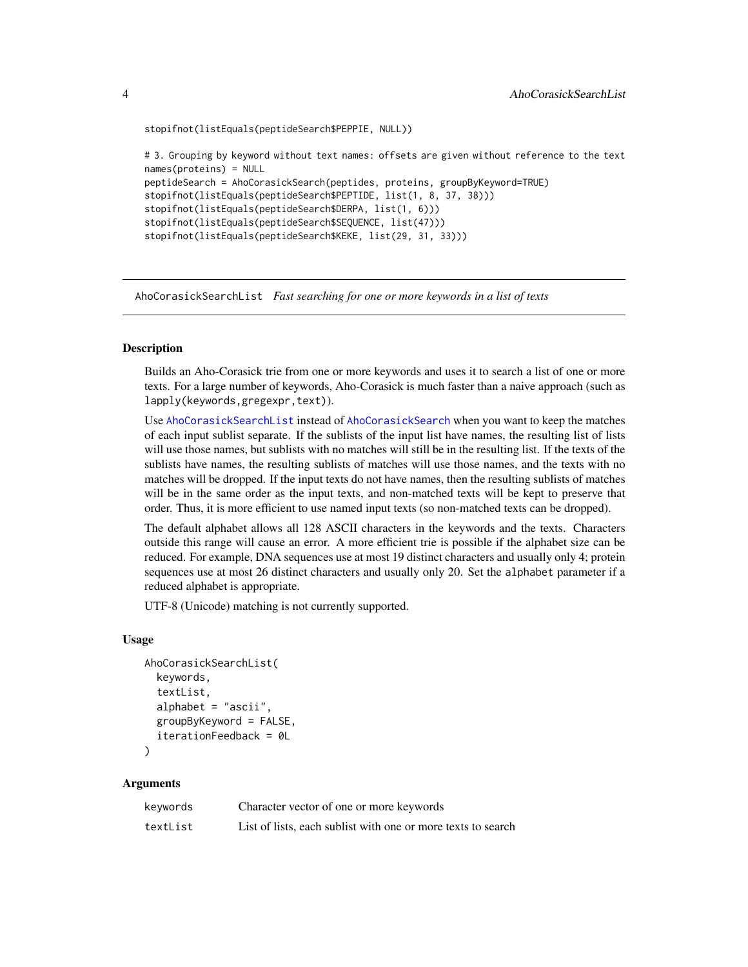```
stopifnot(listEquals(peptideSearch$PEPPIE, NULL))
```

```
# 3. Grouping by keyword without text names: offsets are given without reference to the text
names(proteins) = NULL
peptideSearch = AhoCorasickSearch(peptides, proteins, groupByKeyword=TRUE)
stopifnot(listEquals(peptideSearch$PEPTIDE, list(1, 8, 37, 38)))
stopifnot(listEquals(peptideSearch$DERPA, list(1, 6)))
stopifnot(listEquals(peptideSearch$SEQUENCE, list(47)))
stopifnot(listEquals(peptideSearch$KEKE, list(29, 31, 33)))
```
<span id="page-3-1"></span>AhoCorasickSearchList *Fast searching for one or more keywords in a list of texts*

# **Description**

Builds an Aho-Corasick trie from one or more keywords and uses it to search a list of one or more texts. For a large number of keywords, Aho-Corasick is much faster than a naive approach (such as lapply(keywords,gregexpr,text)).

Use [AhoCorasickSearchList](#page-3-1) instead of [AhoCorasickSearch](#page-1-1) when you want to keep the matches of each input sublist separate. If the sublists of the input list have names, the resulting list of lists will use those names, but sublists with no matches will still be in the resulting list. If the texts of the sublists have names, the resulting sublists of matches will use those names, and the texts with no matches will be dropped. If the input texts do not have names, then the resulting sublists of matches will be in the same order as the input texts, and non-matched texts will be kept to preserve that order. Thus, it is more efficient to use named input texts (so non-matched texts can be dropped).

The default alphabet allows all 128 ASCII characters in the keywords and the texts. Characters outside this range will cause an error. A more efficient trie is possible if the alphabet size can be reduced. For example, DNA sequences use at most 19 distinct characters and usually only 4; protein sequences use at most 26 distinct characters and usually only 20. Set the alphabet parameter if a reduced alphabet is appropriate.

UTF-8 (Unicode) matching is not currently supported.

#### Usage

```
AhoCorasickSearchList(
  keywords,
  textList,
  alphabet = "ascii",
  groupByKeyword = FALSE,
  iterationFeedback = 0L
)
```
#### Arguments

| keywords | Character vector of one or more keywords                     |
|----------|--------------------------------------------------------------|
| textList | List of lists, each sublist with one or more texts to search |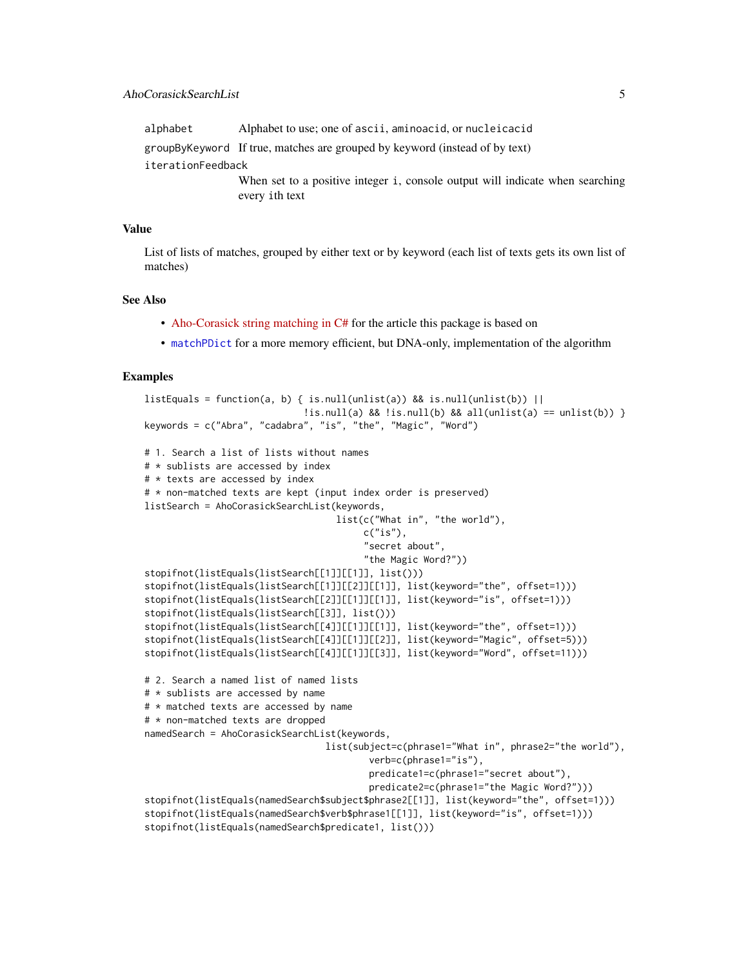<span id="page-4-0"></span>alphabet Alphabet to use; one of ascii, aminoacid, or nucleicacid

groupByKeyword If true, matches are grouped by keyword (instead of by text)

iterationFeedback

When set to a positive integer i, console output will indicate when searching every ith text

# Value

List of lists of matches, grouped by either text or by keyword (each list of texts gets its own list of matches)

# See Also

- [Aho-Corasick string matching in C#](https://www.codeproject.com/Articles/12383/Aho-Corasick-string-matching-in-C) for the article this package is based on
- [matchPDict](#page-0-0) for a more memory efficient, but DNA-only, implementation of the algorithm

# Examples

```
listEquals = function(a, b) { is.null(unlist(a)) && is.null(unlist(b)) ||
                             \exists : is.null(a) && !is.null(b) && all(unlist(a) == unlist(b)) }
keywords = c("Abra", "cadabra", "is", "the", "Magic", "Word")
# 1. Search a list of lists without names
# * sublists are accessed by index
# * texts are accessed by index
# * non-matched texts are kept (input index order is preserved)
listSearch = AhoCorasickSearchList(keywords,
                                   list(c("What in", "the world"),
                                        c("is"),
                                        "secret about",
                                        "the Magic Word?"))
stopifnot(listEquals(listSearch[[1]][[1]], list()))
stopifnot(listEquals(listSearch[[1]][[2]][[1]], list(keyword="the", offset=1)))
stopifnot(listEquals(listSearch[[2]][[1]][[1]], list(keyword="is", offset=1)))
stopifnot(listEquals(listSearch[[3]], list()))
stopifnot(listEquals(listSearch[[4]][[1]][[1]], list(keyword="the", offset=1)))
stopifnot(listEquals(listSearch[[4]][[1]][[2]], list(keyword="Magic", offset=5)))
stopifnot(listEquals(listSearch[[4]][[1]][[3]], list(keyword="Word", offset=11)))
# 2. Search a named list of named lists
# * sublists are accessed by name
# * matched texts are accessed by name
# * non-matched texts are dropped
namedSearch = AhoCorasickSearchList(keywords,
                                 list(subject=c(phrase1="What in", phrase2="the world"),
                                         verb=c(phrase1="is"),
                                         predicate1=c(phrase1="secret about"),
                                         predicate2=c(phrase1="the Magic Word?")))
stopifnot(listEquals(namedSearch$subject$phrase2[[1]], list(keyword="the", offset=1)))
stopifnot(listEquals(namedSearch$verb$phrase1[[1]], list(keyword="is", offset=1)))
stopifnot(listEquals(namedSearch$predicate1, list()))
```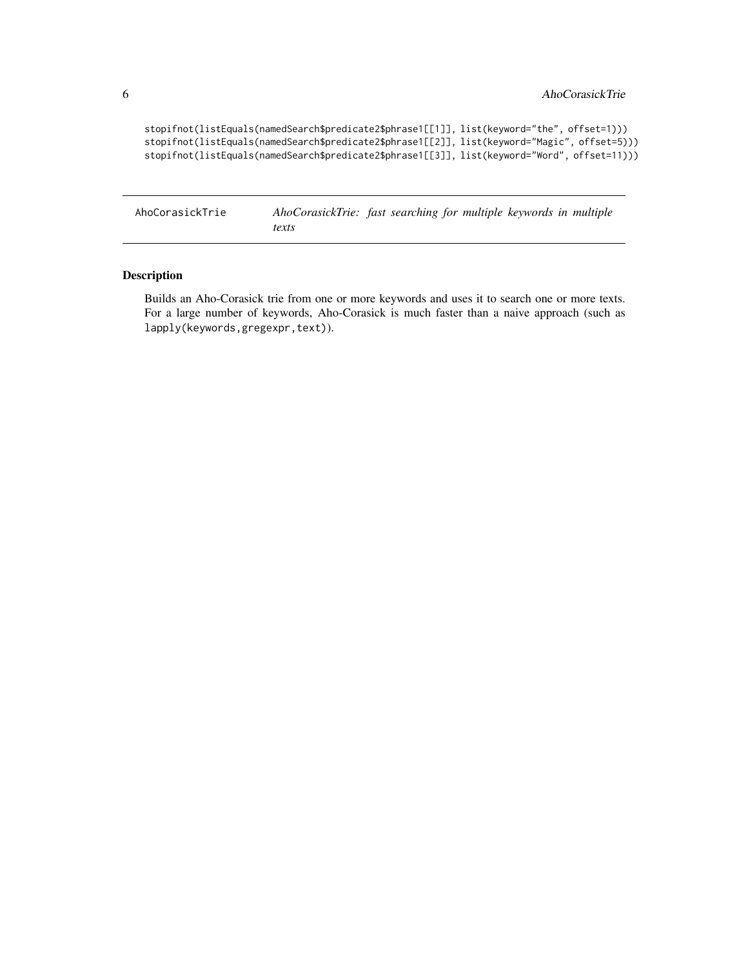```
stopifnot(listEquals(namedSearch$predicate2$phrase1[[1]], list(keyword="the", offset=1)))
stopifnot(listEquals(namedSearch$predicate2$phrase1[[2]], list(keyword="Magic", offset=5)))
stopifnot(listEquals(namedSearch$predicate2$phrase1[[3]], list(keyword="Word", offset=11)))
```
AhoCorasickTrie *AhoCorasickTrie: fast searching for multiple keywords in multiple texts*

# Description

Builds an Aho-Corasick trie from one or more keywords and uses it to search one or more texts. For a large number of keywords, Aho-Corasick is much faster than a naive approach (such as lapply(keywords,gregexpr,text)).